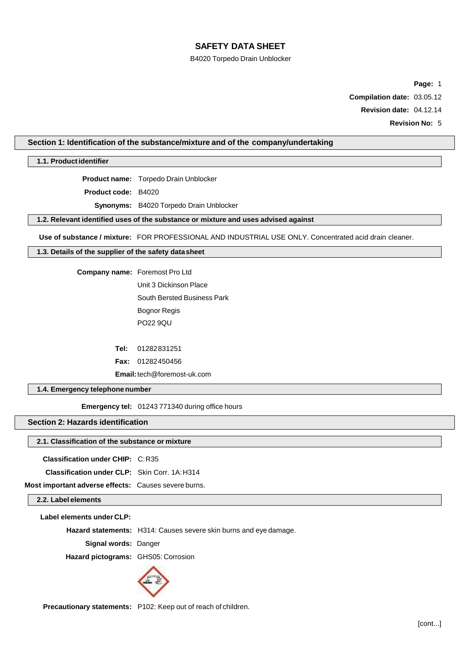# B4020 Torpedo Drain Unblocker

**Page:** 1

**Compilation date:** 03.05.12

**Revision date:** 04.12.14

**Revision No:** 5

#### **Section 1: Identification of the substance/mixture and of the company/undertaking**

**1.1. Productidentifier**

**Product name:** Torpedo Drain Unblocker

**Product code:** B4020

**Synonyms:** B4020 Torpedo Drain Unblocker

**1.2. Relevant identified uses of the substance or mixture and uses advised against**

**Use of substance / mixture:** FOR PROFESSIONAL AND INDUSTRIAL USE ONLY. Concentrated acid drain cleaner.

#### **1.3. Details of the supplier of the safety datasheet**

**Company name:** Foremost Pro Ltd Unit 3 Dickinson Place South Bersted Business Park Bognor Regis PO22 9QU

**Tel:** 01282831251

**Fax:** 01282450456

**Email:**tech@foremost-uk.com

**1.4. Emergency telephonenumber**

**Emergency tel:** 01243 771340 during office hours

#### **Section 2: Hazards identification**

#### **2.1. Classification of the substance or mixture**

**Classification under CHIP:** C:R35

**Classification under CLP:** Skin Corr. 1A:H314

**Most important adverse effects:** Causes severe burns.

**2.2. Label elements**

**Label elements under CLP:**

**Hazard statements:** H314: Causes severe skin burns and eye damage.

**Signal words:** Danger

**Hazard pictograms:** GHS05: Corrosion



**Precautionary statements:** P102: Keep out of reach of children.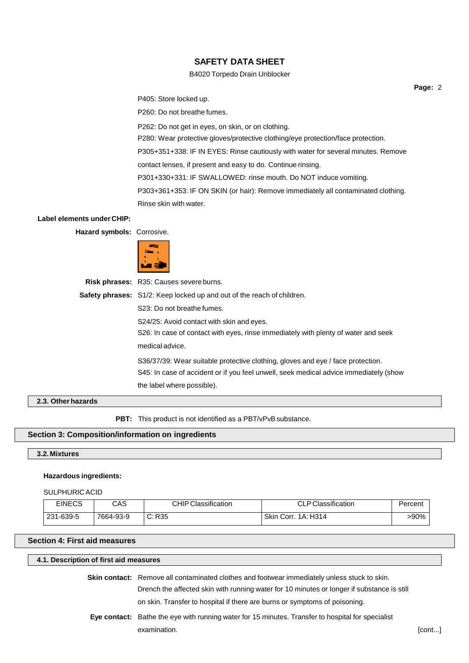### B4020 Torpedo Drain Unblocker

P405: Store locked up.

P260: Do not breathe fumes.

P262: Do not get in eyes, on skin, or on clothing.

P280: Wear protective gloves/protective clothing/eye protection/face protection.

P305+351+338: IF IN EYES: Rinse cautiously with water for several minutes. Remove

contact lenses, if present and easy to do. Continue rinsing.

P301+330+331: IF SWALLOWED: rinse mouth. Do NOT induce vomiting.

P303+361+353: IF ON SKIN (or hair): Remove immediately all contaminated clothing.

Rinse skin with water.

#### **Label elements under CHIP:**

**Hazard symbols:** Corrosive.



**Risk phrases:** R35: Causes severe burns. **Safety phrases:** S1/2: Keep locked up and out of the reach of children. S23: Do not breathe fumes. S24/25: Avoid contact with skin and eyes. S26: In case of contact with eyes, rinse immediately with plenty of water and seek medical advice. S36/37/39: Wear suitable protective clothing, gloves and eye / face protection. S45: In case of accident or if you feel unwell, seek medical advice immediately (show the label where possible).

# **2.3. Otherhazards**

**PBT:** This product is not identified as a PBT/vPvB substance.

### **Section 3: Composition/information on ingredients**

#### **3.2. Mixtures**

#### **Hazardous ingredients:**

#### SULPHURIC ACID

| <b>EINECS</b> | CAS       | <b>CHIP Classification</b> | P Classification    | Percent |
|---------------|-----------|----------------------------|---------------------|---------|
| 231-639-5     | 7664-93-9 | C: R35                     | Skin Corr. 1A: H314 | >90%    |

# **Section 4: First aid measures**

# **4.1. Description of first aid measures**

**Skin contact:** Remove all contaminated clothes and footwear immediately unless stuck to skin. Drench the affected skin with running water for 10 minutes or longer if substance is still

on skin. Transfer to hospital if there are burns or symptoms of poisoning.

examination. [cont...] **Eye contact:** Bathe the eye with running water for 15 minutes. Transfer to hospital for specialist

**Page:** 2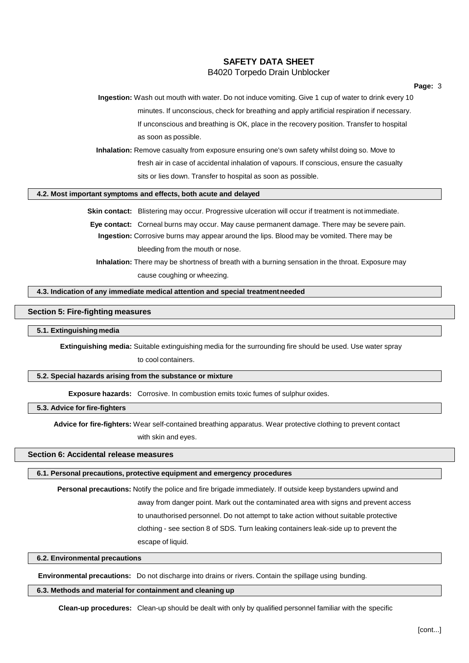# **SAFETY DATA SHEET** B4020 Torpedo Drain Unblocker

**Ingestion:** Wash out mouth with water. Do not induce vomiting. Give 1 cup of water to drink every 10 minutes. If unconscious, check for breathing and apply artificial respiration if necessary. If unconscious and breathing is OK, place in the recovery position. Transfer to hospital as soon as possible.

**Inhalation:** Remove casualty from exposure ensuring one's own safety whilst doing so. Move to fresh air in case of accidental inhalation of vapours. If conscious, ensure the casualty sits or lies down. Transfer to hospital as soon as possible.

#### **4.2. Most important symptoms and effects, both acute and delayed**

**Skin contact:** Blistering may occur. Progressive ulceration will occur if treatment is not immediate.

**Eye contact:** Corneal burns may occur. May cause permanent damage. There may be severe pain. **Ingestion:** Corrosive burns may appear around the lips. Blood may be vomited. There may be bleeding from the mouth or nose.

**Inhalation:** There may be shortness of breath with a burning sensation in the throat. Exposure may cause coughing or wheezing.

#### **4.3. Indication of any immediate medical attention and special treatmentneeded**

#### **Section 5: Fire-fighting measures**

### **5.1. Extinguishingmedia**

**Extinguishing media:** Suitable extinguishing media for the surrounding fire should be used. Use water spray

to cool containers.

# **5.2. Special hazards arising from the substance or mixture**

**Exposure hazards:** Corrosive. In combustion emits toxic fumes of sulphur oxides.

**5.3. Advice for fire-fighters**

**Advice for fire-fighters:** Wear self-contained breathing apparatus. Wear protective clothing to prevent contact

with skin and eyes.

### **Section 6: Accidental release measures**

#### **6.1. Personal precautions, protective equipment and emergency procedures**

**Personal precautions:** Notify the police and fire brigade immediately. If outside keep bystanders upwind and away from danger point. Mark out the contaminated area with signs and prevent access to unauthorised personnel. Do not attempt to take action without suitable protective clothing - see section 8 of SDS. Turn leaking containers leak-side up to prevent the escape of liquid.

### **6.2. Environmental precautions**

**Environmental precautions:** Do not discharge into drains or rivers. Contain the spillage using bunding.

#### **6.3. Methods and material for containment and cleaning up**

**Clean-up procedures:** Clean-up should be dealt with only by qualified personnel familiar with the specific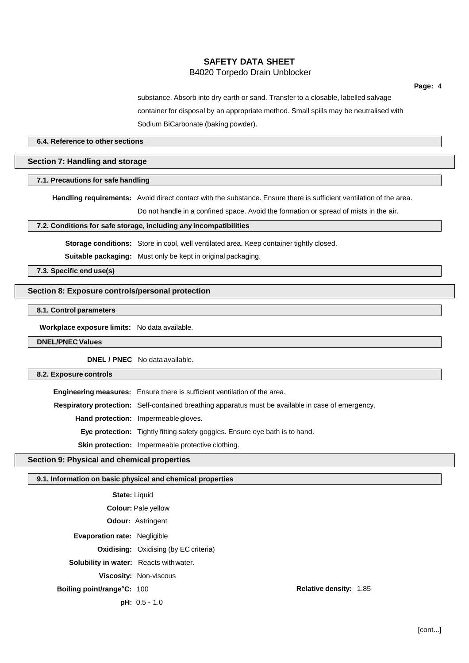# **SAFETY DATA SHEET** B4020 Torpedo Drain Unblocker

substance. Absorb into dry earth or sand. Transfer to a closable, labelled salvage container for disposal by an appropriate method. Small spills may be neutralised with Sodium BiCarbonate (baking powder).

#### **6.4. Reference to other sections**

### **Section 7: Handling and storage**

#### **7.1. Precautions for safe handling**

**Handling requirements:** Avoid direct contact with the substance. Ensure there is sufficient ventilation of the area.

Do not handle in a confined space. Avoid the formation or spread of mists in the air.

#### **7.2. Conditions for safe storage, including any incompatibilities**

**Storage conditions:** Store in cool, well ventilated area. Keep container tightly closed.

**Suitable packaging:** Must only be kept in original packaging.

**7.3. Specific end use(s)**

### **Section 8: Exposure controls/personal protection**

# **8.1. Control parameters**

**Workplace exposure limits:** No data available.

#### **DNEL/PNEC Values**

**DNEL / PNEC** No data available.

# **8.2. Exposure controls**

|                                                                                    | <b>Engineering measures:</b> Ensure there is sufficient ventilation of the area.                          |  |
|------------------------------------------------------------------------------------|-----------------------------------------------------------------------------------------------------------|--|
|                                                                                    | <b>Respiratory protection:</b> Self-contained breathing apparatus must be available in case of emergency. |  |
|                                                                                    | Hand protection: Impermeable gloves.                                                                      |  |
| <b>Eye protection:</b> Tightly fitting safety goggles. Ensure eye bath is to hand. |                                                                                                           |  |
|                                                                                    | Skin protection: Impermeable protective clothing.                                                         |  |

# **Section 9: Physical and chemical properties**

#### **9.1. Information on basic physical and chemical properties**

| <b>Relative density: 1.85</b>                                                                                                                                                                                                                                                                             |  |
|-----------------------------------------------------------------------------------------------------------------------------------------------------------------------------------------------------------------------------------------------------------------------------------------------------------|--|
|                                                                                                                                                                                                                                                                                                           |  |
| <b>State: Liquid</b><br><b>Colour: Pale yellow</b><br><b>Odour: Astringent</b><br><b>Evaporation rate: Negligible</b><br><b>Oxidising:</b> Oxidising (by EC criteria)<br><b>Solubility in water:</b> Reacts with water.<br><b>Viscosity: Non-viscous</b><br>Boiling point/range°C: 100<br>$pH: 0.5 - 1.0$ |  |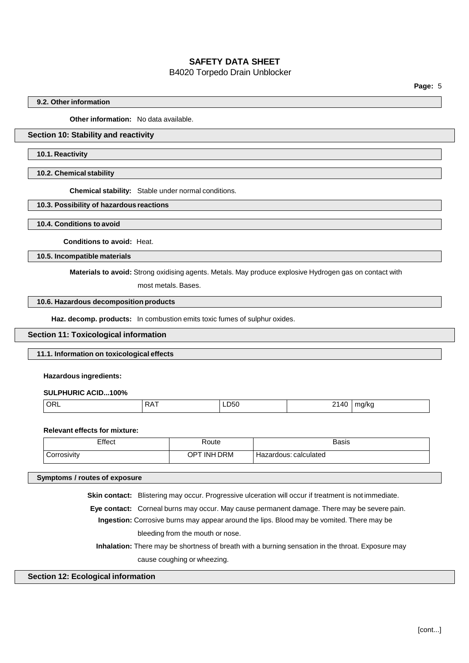# B4020 Torpedo Drain Unblocker

**Page:** 5

### **9.2. Other information**

**Other information:** No data available.

# **Section 10: Stability and reactivity**

#### **10.1. Reactivity**

#### **10.2. Chemical stability**

**Chemical stability:** Stable under normal conditions.

#### **10.3. Possibility of hazardous reactions**

**10.4. Conditions to avoid**

**Conditions to avoid:** Heat.

**10.5. Incompatible materials**

**Materials to avoid:** Strong oxidising agents. Metals. May produce explosive Hydrogen gas on contact with

most metals. Bases.

# **10.6. Hazardous decomposition products**

**Haz. decomp. products:** In combustion emits toxic fumes of sulphur oxides.

#### **Section 11: Toxicological information**

### **11.1. Information on toxicological effects**

#### **Hazardous ingredients:**

**SULPHURIC ACID...100%**

| ∩P<br>Λ<br>٦L<br>טטי<br>$\mathbf{1}$<br>$\cdot$<br>$\sim$<br>$ -$<br>$ -$ |  |
|---------------------------------------------------------------------------|--|
|---------------------------------------------------------------------------|--|

#### **Relevant effects for mixture:**

| Effect      | Route           | Basis                 |
|-------------|-----------------|-----------------------|
| Corrosivity | TINH DRM<br>OPT | Hazardous: calculated |

### **Symptoms / routes of exposure**

**Skin contact:** Blistering may occur. Progressive ulceration will occur if treatment is not immediate.

**Eye contact:** Corneal burns may occur. May cause permanent damage. There may be severe pain. **Ingestion:** Corrosive burns may appear around the lips. Blood may be vomited. There may be bleeding from the mouth or nose.

**Inhalation:** There may be shortness of breath with a burning sensation in the throat. Exposure may cause coughing or wheezing.

#### **Section 12: Ecological information**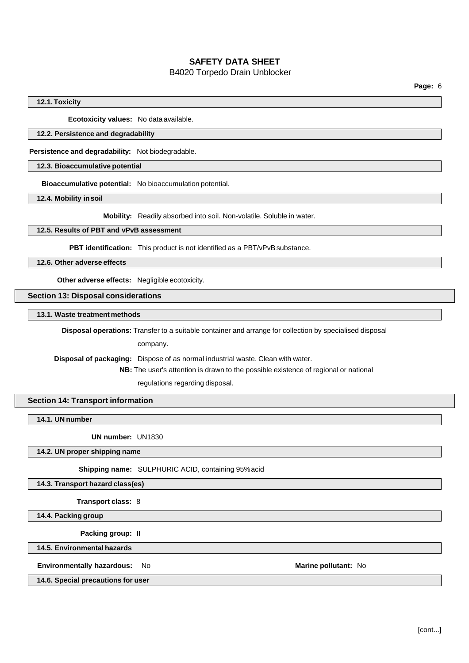# B4020 Torpedo Drain Unblocker

### **12.1.Toxicity**

**Ecotoxicity values:** No data available.

# **12.2. Persistence and degradability**

**Persistence and degradability:** Not biodegradable.

## **12.3. Bioaccumulative potential**

**Bioaccumulative potential:** No bioaccumulation potential.

**12.4. Mobility insoil**

**Mobility:** Readily absorbed into soil. Non-volatile. Soluble in water.

#### **12.5. Results of PBT and vPvB assessment**

**PBT identification:** This product is not identified as a PBT/vPvB substance.

**12.6. Other adverse effects**

**Other adverse effects:** Negligible ecotoxicity.

**Section 13: Disposal considerations**

**13.1. Waste treatment methods**

**Disposal operations:** Transfer to a suitable container and arrange for collection by specialised disposal

company.

**Disposal of packaging:** Dispose of as normal industrial waste. Clean with water.

**NB:** The user's attention is drawn to the possible existence of regional or national

regulations regarding disposal.

### **Section 14: Transport information**

**14.1. UN number**

**UN number:** UN1830

**14.2. UN proper shipping name**

**Shipping name:** SULPHURIC ACID, containing 95%acid

#### **14.3. Transport hazard class(es)**

**Transport class:** 8

**14.4. Packing group**

**Packing group:** II

**14.5. Environmental hazards**

**Environmentally hazardous:** No **Marine pollutant:** No

**14.6. Special precautions for user**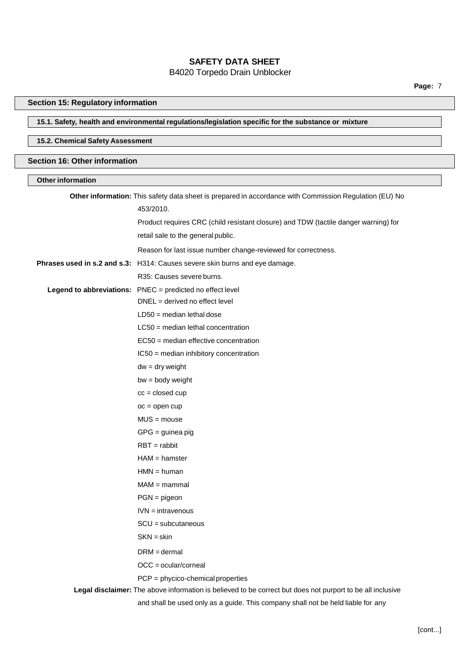# B4020 Torpedo Drain Unblocker

# **Section 15: Regulatory information**

# **15.1. Safety, health and environmental regulations/legislation specific for the substance or mixture**

# **15.2. Chemical Safety Assessment**

# **Section 16: Other information**

# **Other information**

| Other information: This safety data sheet is prepared in accordance with Commission Regulation (EU) No     |
|------------------------------------------------------------------------------------------------------------|
| 453/2010.                                                                                                  |
| Product requires CRC (child resistant closure) and TDW (tactile danger warning) for                        |
| retail sale to the general public.                                                                         |
| Reason for last issue number change-reviewed for correctness.                                              |
| Phrases used in s.2 and s.3: H314: Causes severe skin burns and eye damage.                                |
| R35: Causes severe burns.                                                                                  |
| Legend to abbreviations: PNEC = predicted no effect level                                                  |
| $DNEL = derived no effect level$                                                                           |
| $LD50 = median$ lethal dose                                                                                |
| $LC50$ = median lethal concentration                                                                       |
| EC50 = median effective concentration                                                                      |
| IC50 = median inhibitory concentration                                                                     |
| $dw = dry$ weight                                                                                          |
| $bw = body weight$                                                                                         |
| $cc = closed cup$                                                                                          |
| $oc = open cup$                                                                                            |
| $MUS = mouse$                                                                                              |
| $GPG =$ guinea pig                                                                                         |
| $RBT = rabbit$                                                                                             |
| $HAM = hamster$                                                                                            |
| $HMN = human$                                                                                              |
| $MAM =$ mammal                                                                                             |
| $PGN = pigeon$                                                                                             |
| $IVN = intravenous$                                                                                        |
| $SCU = subcutaneous$                                                                                       |
| $SKN = skin$                                                                                               |
| $DRM = dermal$                                                                                             |
| $OCC = ocular/corneal$                                                                                     |
| $PCP = phycico-chemical properties$                                                                        |
| Legal disclaimer: The above information is believed to be correct but does not purport to be all inclusive |
| and shall be used only as a guide. This company shall not be held liable for any                           |